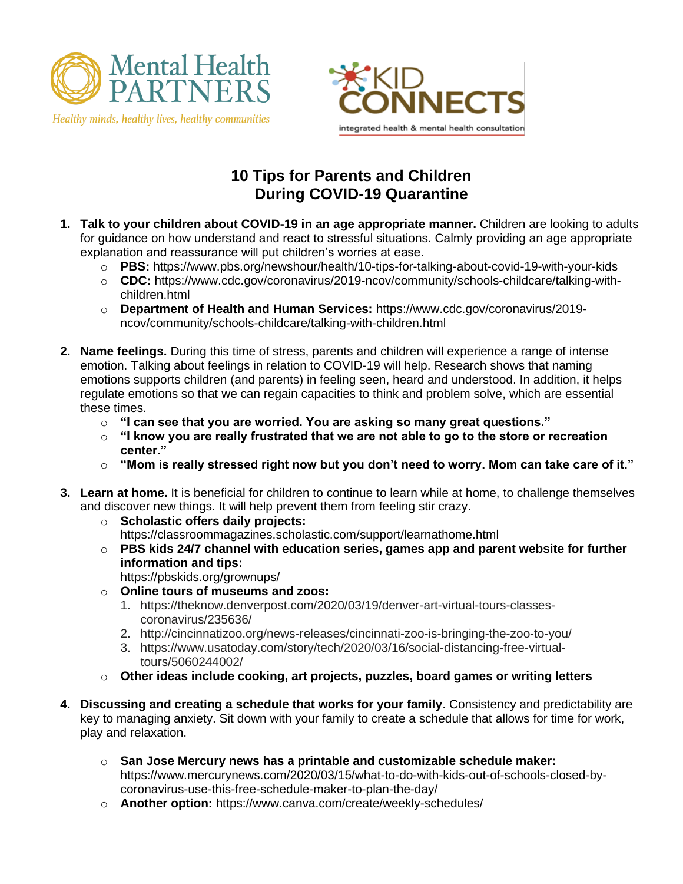

Healthy minds, healthy lives, healthy communities



## **10 Tips for Parents and Children During COVID-19 Quarantine**

- **1. Talk to your children about COVID-19 in an age appropriate manner.** Children are looking to adults for guidance on how understand and react to stressful situations. Calmly providing an age appropriate explanation and reassurance will put children's worries at ease.
	- o **PBS:** <https://www.pbs.org/newshour/health/10-tips-for-talking-about-covid-19-with-your-kids>
	- o **CDC:** [https://www.cdc.gov/coronavirus/2019-ncov/community/schools-childcare/talking-with](https://www.cdc.gov/coronavirus/2019-ncov/community/schools-childcare/talking-with-children.html)[children.html](https://www.cdc.gov/coronavirus/2019-ncov/community/schools-childcare/talking-with-children.html)
	- o **Department of Health and Human Services:** https://www.cdc.gov/coronavirus/2019 ncov/community/schools-childcare/talking-with-children.html
- **2. Name feelings.** During this time of stress, parents and children will experience a range of intense emotion. Talking about feelings in relation to COVID-19 will help. Research shows that naming emotions supports children (and parents) in feeling seen, heard and understood. In addition, it helps regulate emotions so that we can regain capacities to think and problem solve, which are essential these times.
	- o **"I can see that you are worried. You are asking so many great questions."**
	- o **"I know you are really frustrated that we are not able to go to the store or recreation center."**
	- o **"Mom is really stressed right now but you don't need to worry. Mom can take care of it."**
- **3. Learn at home.** It is beneficial for children to continue to learn while at home, to challenge themselves and discover new things. It will help prevent them from feeling stir crazy.
	- o **Scholastic offers daily projects:** https://classroommagazines.scholastic.com/support/learnathome.html
	- o **PBS kids 24/7 channel with education series, games app and parent website for further information and tips:** https://pbskids.org/grownups/
	- o **Online tours of museums and zoos:**
		- 1. https://theknow.denverpost.com/2020/03/19/denver-art-virtual-tours-classescoronavirus/235636/
		- 2. http://cincinnatizoo.org/news-releases/cincinnati-zoo-is-bringing-the-zoo-to-you/
		- 3. https://www.usatoday.com/story/tech/2020/03/16/social-distancing-free-virtualtours/5060244002/
	- o **Other ideas include cooking, art projects, puzzles, board games or writing letters**
- **4. Discussing and creating a schedule that works for your family**. Consistency and predictability are key to managing anxiety. Sit down with your family to create a schedule that allows for time for work, play and relaxation.
	- o **San Jose Mercury news has a printable and customizable schedule maker:** https://www.mercurynews.com/2020/03/15/what-to-do-with-kids-out-of-schools-closed-bycoronavirus-use-this-free-schedule-maker-to-plan-the-day/
	- o **Another option:** https://www.canva.com/create/weekly-schedules/